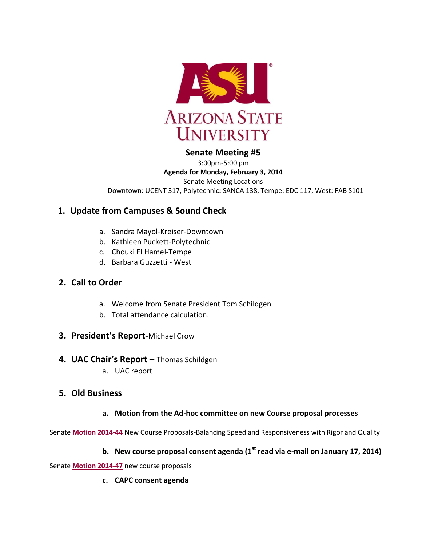

## **Senate Meeting #5**

3:00pm-5:00 pm **Agenda for Monday, February 3, 2014** Senate Meeting Locations Downtown: UCENT 317**,** Polytechnic**:** SANCA 138, Tempe: EDC 117, West: FAB S101

# **1. Update from Campuses & Sound Check**

- a. Sandra Mayol-Kreiser-Downtown
- b. Kathleen Puckett-Polytechnic
- c. Chouki El Hamel-Tempe
- d. Barbara Guzzetti West

# **2. Call to Order**

- a. Welcome from Senate President Tom Schildgen
- b. Total attendance calculation.
- **3. President's Report-**Michael Crow

## **4. UAC Chair's Report –** Thomas Schildgen

a. UAC report

## **5. Old Business**

### **a. Motion from the Ad-hoc committee on new Course proposal processes**

Senate **[Motion 2014-44](http://usenate.asu.edu/node/4864)** New Course Proposals-Balancing Speed and Responsiveness with Rigor and Quality

## **b. New course proposal consent agenda (1st read via e-mail on January 17, 2014)**

Senate **[Motion 2014-47](http://usenate.asu.edu/node/4883)** new course proposals

**c. CAPC consent agenda**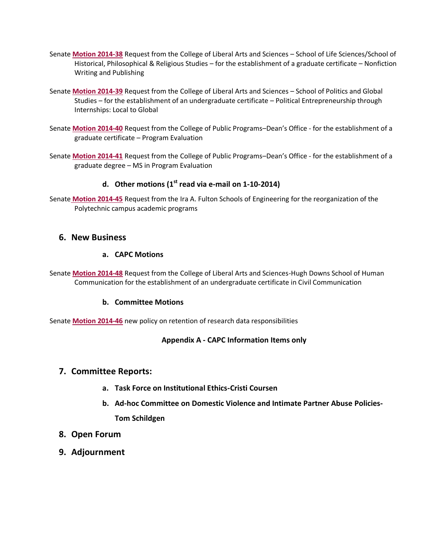- Senate **[Motion 2014-38](http://usenate.asu.edu/node/4852)** Request from the College of Liberal Arts and Sciences School of Life Sciences/School of Historical, Philosophical & Religious Studies – for the establishment of a graduate certificate – Nonfiction Writing and Publishing
- Senate **[Motion 2014-39](http://usenate.asu.edu/node/4853)** Request from the College of Liberal Arts and Sciences School of Politics and Global Studies – for the establishment of an undergraduate certificate – Political Entrepreneurship through Internships: Local to Global
- Senate **[Motion 2014-40](http://usenate.asu.edu/node/4854)** Request from the College of Public Programs–Dean's Office for the establishment of a graduate certificate – Program Evaluation
- Senate **[Motion 2014-41](http://usenate.asu.edu/node/4855)** Request from the College of Public Programs–Dean's Office for the establishment of a graduate degree – MS in Program Evaluation

## **d. Other motions (1st read via e-mail on 1-10-2014)**

Senate **[Motion 2014-45](http://usenate.asu.edu/node/4880)** Request from the Ira A. Fulton Schools of Engineering for the reorganization of the Polytechnic campus academic programs

### **6. New Business**

#### **a. CAPC Motions**

Senate **[Motion 2014-48](http://usenate.asu.edu/node/4884)** Request from the College of Liberal Arts and Sciences-Hugh Downs School of Human Communication for the establishment of an undergraduate certificate in Civil Communication

#### **b. Committee Motions**

Senate **[Motion 2014-46](http://usenate.asu.edu/node/4882)** new policy on retention of research data responsibilities

#### **Appendix A - CAPC Information Items only**

### **7. Committee Reports:**

- **a. Task Force on Institutional Ethics-Cristi Coursen**
- **b. Ad-hoc Committee on Domestic Violence and Intimate Partner Abuse Policies-Tom Schildgen**
- **8. Open Forum**
- **9. Adjournment**